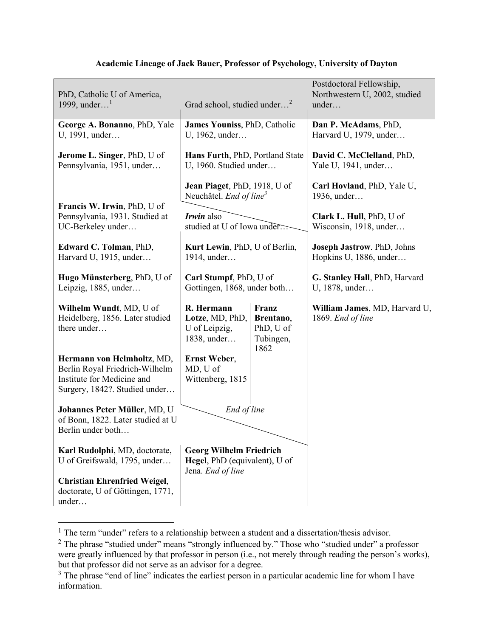| PhD, Catholic U of America,<br>1999, under <sup>1</sup>                                                                     | Grad school, studied under <sup>2</sup>                             |                                                      | Postdoctoral Fellowship,<br>Northwestern U, 2002, studied<br>under |
|-----------------------------------------------------------------------------------------------------------------------------|---------------------------------------------------------------------|------------------------------------------------------|--------------------------------------------------------------------|
| George A. Bonanno, PhD, Yale<br>U, 1991, under                                                                              | James Youniss, PhD, Catholic<br>U, 1962, under                      |                                                      | Dan P. McAdams, PhD,<br>Harvard U, 1979, under                     |
| Jerome L. Singer, PhD, U of<br>Pennsylvania, 1951, under                                                                    | Hans Furth, PhD, Portland State<br>U, 1960. Studied under           |                                                      | David C. McClelland, PhD,<br>Yale U, 1941, under                   |
|                                                                                                                             | Jean Piaget, PhD, 1918, U of<br>Neuchâtel. End of line <sup>3</sup> |                                                      | Carl Hovland, PhD, Yale U,<br>1936, under                          |
| Francis W. Irwin, PhD, U of<br>Pennsylvania, 1931. Studied at<br>UC-Berkeley under                                          | <i>Irwin</i> also<br>studied at U of Iowa under                     |                                                      | Clark L. Hull, PhD, U of<br>Wisconsin, 1918, under                 |
| Edward C. Tolman, PhD,<br>Harvard U, 1915, under                                                                            | Kurt Lewin, PhD, U of Berlin,<br>1914, under                        |                                                      | Joseph Jastrow. PhD, Johns<br>Hopkins U, 1886, under               |
| Hugo Münsterberg, PhD, U of<br>Leipzig, 1885, under                                                                         | Carl Stumpf, PhD, U of<br>Gottingen, 1868, under both               |                                                      | G. Stanley Hall, PhD, Harvard<br>U, 1878, under                    |
| Wilhelm Wundt, MD, U of<br>Heidelberg, 1856. Later studied<br>there under                                                   | R. Hermann<br>Lotze, MD, PhD,<br>U of Leipzig,<br>1838, under       | Franz<br>Brentano,<br>PhD, U of<br>Tubingen,<br>1862 | William James, MD, Harvard U,<br>1869. End of line                 |
| Hermann von Helmholtz, MD,<br>Berlin Royal Friedrich-Wilhelm<br>Institute for Medicine and<br>Surgery, 1842?. Studied under | <b>Ernst Weber,</b><br>MD, U of<br>Wittenberg, 1815                 |                                                      |                                                                    |
| Johannes Peter Müller, MD, U<br>of Bonn, 1822. Later studied at U<br>Berlin under both                                      | End of line                                                         |                                                      |                                                                    |
| Karl Rudolphi, MD, doctorate,<br>U of Greifswald, 1795, under                                                               | <b>Georg Wilhelm Friedrich</b><br>Hegel, PhD (equivalent), U of     |                                                      |                                                                    |
| <b>Christian Ehrenfried Weigel,</b><br>doctorate, U of Göttingen, 1771,<br>under                                            | Jena. End of line                                                   |                                                      |                                                                    |

## **Academic Lineage of Jack Bauer, Professor of Psychology, University of Dayton**

 $1$  The term "under" refers to a relationship between a student and a dissertation/thesis advisor.

<sup>&</sup>lt;sup>2</sup> The phrase "studied under" means "strongly influenced by." Those who "studied under" a professor were greatly influenced by that professor in person (i.e., not merely through reading the person's works), but that professor did not serve as an advisor for a degree.

<sup>&</sup>lt;sup>3</sup> The phrase "end of line" indicates the earliest person in a particular academic line for whom I have information.